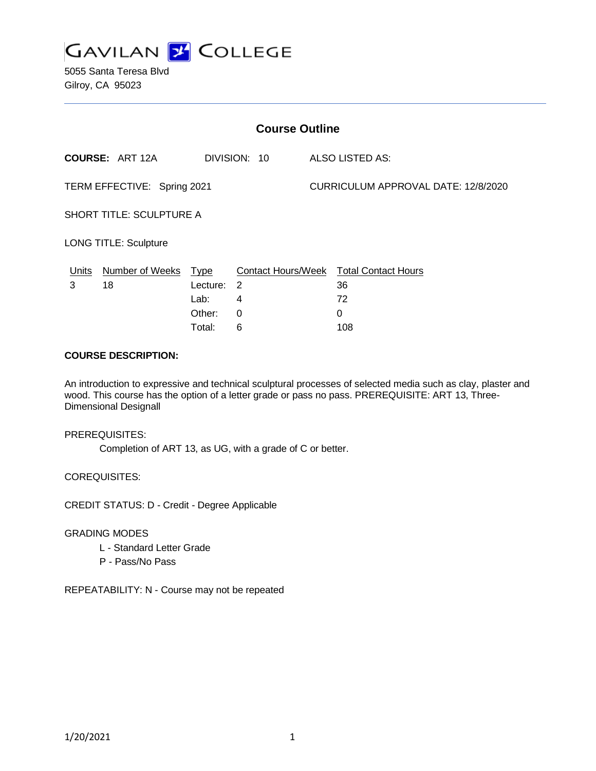

5055 Santa Teresa Blvd Gilroy, CA 95023

| <b>Course Outline</b>           |                        |                                                     |                   |  |                                                                |  |
|---------------------------------|------------------------|-----------------------------------------------------|-------------------|--|----------------------------------------------------------------|--|
|                                 | <b>COURSE: ART 12A</b> |                                                     | DIVISION: 10      |  | <b>ALSO LISTED AS:</b>                                         |  |
| TERM EFFECTIVE: Spring 2021     |                        |                                                     |                   |  | CURRICULUM APPROVAL DATE: 12/8/2020                            |  |
| <b>SHORT TITLE: SCULPTURE A</b> |                        |                                                     |                   |  |                                                                |  |
| <b>LONG TITLE: Sculpture</b>    |                        |                                                     |                   |  |                                                                |  |
| <u>Units</u><br>3               | Number of Weeks<br>18  | <u>Type</u><br>Lecture:<br>Lab:<br>Other:<br>Total: | -2<br>4<br>0<br>6 |  | Contact Hours/Week Total Contact Hours<br>36<br>72<br>0<br>108 |  |

### **COURSE DESCRIPTION:**

An introduction to expressive and technical sculptural processes of selected media such as clay, plaster and wood. This course has the option of a letter grade or pass no pass. PREREQUISITE: ART 13, Three-Dimensional Designall

PREREQUISITES:

Completion of ART 13, as UG, with a grade of C or better.

COREQUISITES:

CREDIT STATUS: D - Credit - Degree Applicable

GRADING MODES

- L Standard Letter Grade
- P Pass/No Pass

REPEATABILITY: N - Course may not be repeated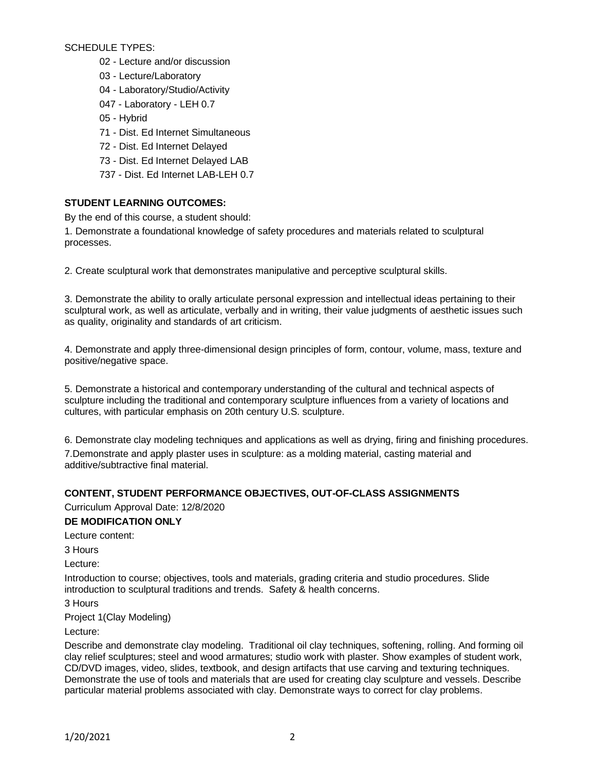SCHEDULE TYPES:

- 02 Lecture and/or discussion
- 03 Lecture/Laboratory
- 04 Laboratory/Studio/Activity
- 047 Laboratory LEH 0.7
- 05 Hybrid
- 71 Dist. Ed Internet Simultaneous
- 72 Dist. Ed Internet Delayed
- 73 Dist. Ed Internet Delayed LAB
- 737 Dist. Ed Internet LAB-LEH 0.7

## **STUDENT LEARNING OUTCOMES:**

By the end of this course, a student should:

1. Demonstrate a foundational knowledge of safety procedures and materials related to sculptural processes.

2. Create sculptural work that demonstrates manipulative and perceptive sculptural skills.

3. Demonstrate the ability to orally articulate personal expression and intellectual ideas pertaining to their sculptural work, as well as articulate, verbally and in writing, their value judgments of aesthetic issues such as quality, originality and standards of art criticism.

4. Demonstrate and apply three-dimensional design principles of form, contour, volume, mass, texture and positive/negative space.

5. Demonstrate a historical and contemporary understanding of the cultural and technical aspects of sculpture including the traditional and contemporary sculpture influences from a variety of locations and cultures, with particular emphasis on 20th century U.S. sculpture.

6. Demonstrate clay modeling techniques and applications as well as drying, firing and finishing procedures. 7.Demonstrate and apply plaster uses in sculpture: as a molding material, casting material and additive/subtractive final material.

## **CONTENT, STUDENT PERFORMANCE OBJECTIVES, OUT-OF-CLASS ASSIGNMENTS**

Curriculum Approval Date: 12/8/2020

### **DE MODIFICATION ONLY**

Lecture content:

3 Hours

Lecture:

Introduction to course; objectives, tools and materials, grading criteria and studio procedures. Slide introduction to sculptural traditions and trends. Safety & health concerns.

3 Hours

Project 1(Clay Modeling)

Lecture:

Describe and demonstrate clay modeling. Traditional oil clay techniques, softening, rolling. And forming oil clay relief sculptures; steel and wood armatures; studio work with plaster. Show examples of student work, CD/DVD images, video, slides, textbook, and design artifacts that use carving and texturing techniques. Demonstrate the use of tools and materials that are used for creating clay sculpture and vessels. Describe particular material problems associated with clay. Demonstrate ways to correct for clay problems.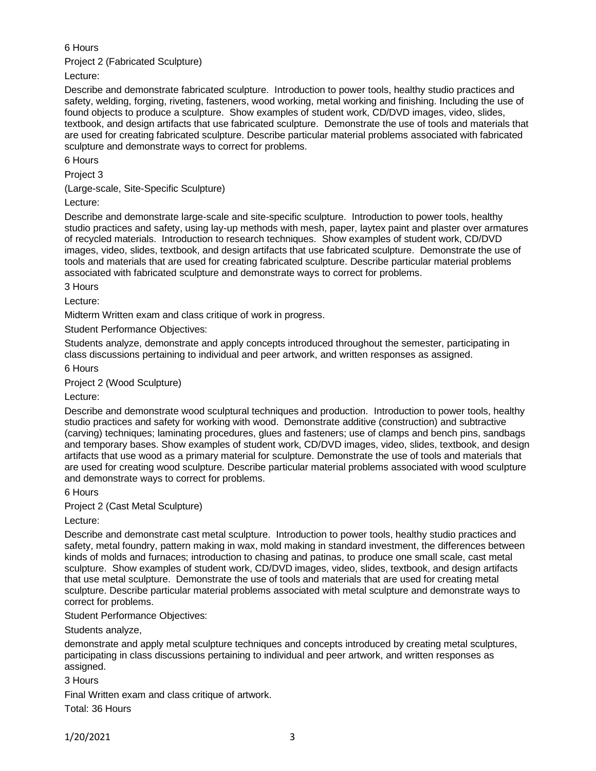## 6 Hours

Project 2 (Fabricated Sculpture)

Lecture:

Describe and demonstrate fabricated sculpture. Introduction to power tools, healthy studio practices and safety, welding, forging, riveting, fasteners, wood working, metal working and finishing. Including the use of found objects to produce a sculpture. Show examples of student work, CD/DVD images, video, slides, textbook, and design artifacts that use fabricated sculpture. Demonstrate the use of tools and materials that are used for creating fabricated sculpture. Describe particular material problems associated with fabricated sculpture and demonstrate ways to correct for problems.

6 Hours

Project 3

(Large-scale, Site-Specific Sculpture)

Lecture:

Describe and demonstrate large-scale and site-specific sculpture. Introduction to power tools, healthy studio practices and safety, using lay-up methods with mesh, paper, laytex paint and plaster over armatures of recycled materials. Introduction to research techniques. Show examples of student work, CD/DVD images, video, slides, textbook, and design artifacts that use fabricated sculpture. Demonstrate the use of tools and materials that are used for creating fabricated sculpture. Describe particular material problems associated with fabricated sculpture and demonstrate ways to correct for problems.

3 Hours

Lecture:

Midterm Written exam and class critique of work in progress.

Student Performance Objectives:

Students analyze, demonstrate and apply concepts introduced throughout the semester, participating in class discussions pertaining to individual and peer artwork, and written responses as assigned.

6 Hours

Project 2 (Wood Sculpture)

Lecture:

Describe and demonstrate wood sculptural techniques and production. Introduction to power tools, healthy studio practices and safety for working with wood. Demonstrate additive (construction) and subtractive (carving) techniques; laminating procedures, glues and fasteners; use of clamps and bench pins, sandbags and temporary bases. Show examples of student work, CD/DVD images, video, slides, textbook, and design artifacts that use wood as a primary material for sculpture. Demonstrate the use of tools and materials that are used for creating wood sculpture. Describe particular material problems associated with wood sculpture and demonstrate ways to correct for problems.

6 Hours

Project 2 (Cast Metal Sculpture)

Lecture:

Describe and demonstrate cast metal sculpture. Introduction to power tools, healthy studio practices and safety, metal foundry, pattern making in wax, mold making in standard investment, the differences between kinds of molds and furnaces; introduction to chasing and patinas, to produce one small scale, cast metal sculpture. Show examples of student work, CD/DVD images, video, slides, textbook, and design artifacts that use metal sculpture. Demonstrate the use of tools and materials that are used for creating metal sculpture. Describe particular material problems associated with metal sculpture and demonstrate ways to correct for problems.

Student Performance Objectives:

Students analyze,

demonstrate and apply metal sculpture techniques and concepts introduced by creating metal sculptures, participating in class discussions pertaining to individual and peer artwork, and written responses as assigned.

3 Hours

Final Written exam and class critique of artwork.

Total: 36 Hours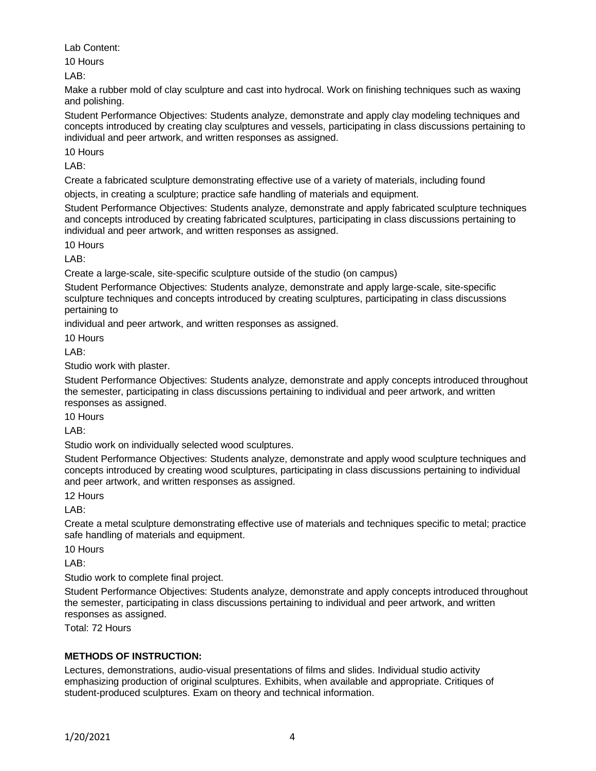Lab Content:

10 Hours

LAB:

Make a rubber mold of clay sculpture and cast into hydrocal. Work on finishing techniques such as waxing and polishing.

Student Performance Objectives: Students analyze, demonstrate and apply clay modeling techniques and concepts introduced by creating clay sculptures and vessels, participating in class discussions pertaining to individual and peer artwork, and written responses as assigned.

10 Hours

LAB:

Create a fabricated sculpture demonstrating effective use of a variety of materials, including found

objects, in creating a sculpture; practice safe handling of materials and equipment.

Student Performance Objectives: Students analyze, demonstrate and apply fabricated sculpture techniques and concepts introduced by creating fabricated sculptures, participating in class discussions pertaining to individual and peer artwork, and written responses as assigned.

10 Hours

LAB:

Create a large-scale, site-specific sculpture outside of the studio (on campus)

Student Performance Objectives: Students analyze, demonstrate and apply large-scale, site-specific sculpture techniques and concepts introduced by creating sculptures, participating in class discussions pertaining to

individual and peer artwork, and written responses as assigned.

10 Hours

LAB:

Studio work with plaster.

Student Performance Objectives: Students analyze, demonstrate and apply concepts introduced throughout the semester, participating in class discussions pertaining to individual and peer artwork, and written responses as assigned.

10 Hours

LAB:

Studio work on individually selected wood sculptures.

Student Performance Objectives: Students analyze, demonstrate and apply wood sculpture techniques and concepts introduced by creating wood sculptures, participating in class discussions pertaining to individual and peer artwork, and written responses as assigned.

12 Hours

LAB:

Create a metal sculpture demonstrating effective use of materials and techniques specific to metal; practice safe handling of materials and equipment.

10 Hours

LAB:

Studio work to complete final project.

Student Performance Objectives: Students analyze, demonstrate and apply concepts introduced throughout the semester, participating in class discussions pertaining to individual and peer artwork, and written responses as assigned.

Total: 72 Hours

# **METHODS OF INSTRUCTION:**

Lectures, demonstrations, audio-visual presentations of films and slides. Individual studio activity emphasizing production of original sculptures. Exhibits, when available and appropriate. Critiques of student-produced sculptures. Exam on theory and technical information.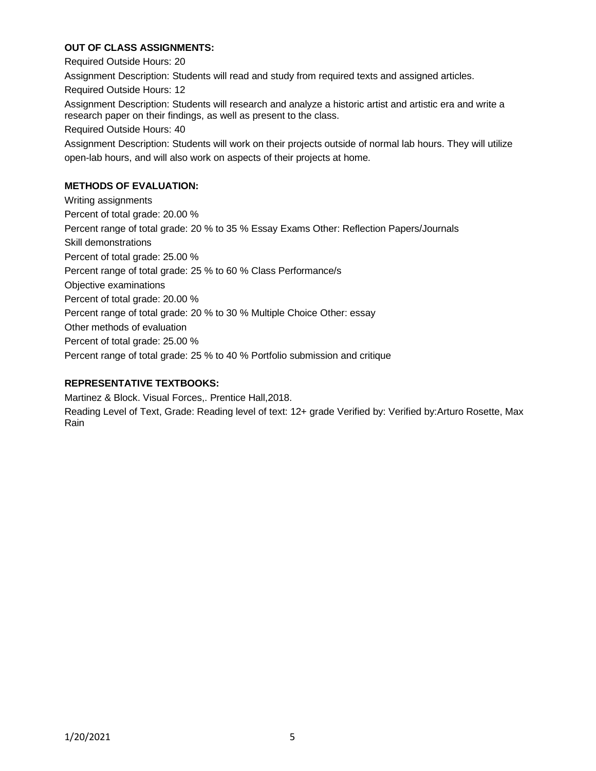## **OUT OF CLASS ASSIGNMENTS:**

Required Outside Hours: 20 Assignment Description: Students will read and study from required texts and assigned articles. Required Outside Hours: 12 Assignment Description: Students will research and analyze a historic artist and artistic era and write a research paper on their findings, as well as present to the class. Required Outside Hours: 40 Assignment Description: Students will work on their projects outside of normal lab hours. They will utilize open-lab hours, and will also work on aspects of their projects at home. **METHODS OF EVALUATION:** Writing assignments Percent of total grade: 20.00 % Percent range of total grade: 20 % to 35 % Essay Exams Other: Reflection Papers/Journals Skill demonstrations Percent of total grade: 25.00 % Percent range of total grade: 25 % to 60 % Class Performance/s Objective examinations Percent of total grade: 20.00 % Percent range of total grade: 20 % to 30 % Multiple Choice Other: essay

Other methods of evaluation

Percent of total grade: 25.00 %

Percent range of total grade: 25 % to 40 % Portfolio submission and critique

## **REPRESENTATIVE TEXTBOOKS:**

Martinez & Block. Visual Forces,. Prentice Hall,2018.

Reading Level of Text, Grade: Reading level of text: 12+ grade Verified by: Verified by:Arturo Rosette, Max Rain